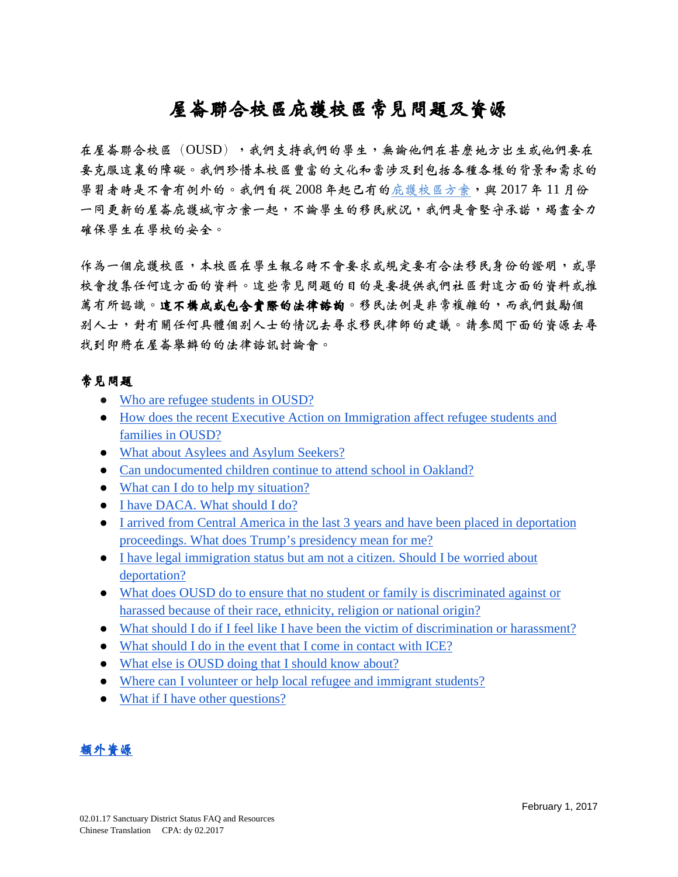# 屋崙聯合校區庇護校區常見問題及資源

在屋崙聯合校區(OUSD),我們支持我們的學生,無論他們在甚麼地方出生或他們要在 要克服這裏的障礙。我們珍惜本校區豐富的文化和當涉及到包括各種各樣的背景和需求的 學習者時是不會有例外的。我們自從 2008年起已有的庇護校區方案,與 2017年11月份 一同更新的屋崙庇護城市方案一起,不論學生的移民狀況,我們是會堅守承諾,竭盡全力 確保學生在學校的安全。

作為一個庇護校區,本校區在學生報名時不會要求或規定要有合法移民身份的證明,或學 校會搜集任何這方面的資料。這些常見問題的目的是要提供我們社區對這方面的資料或推 薦有所認識。這不構成或包含實際的法律諮詢。移民法例是非常複雜的,而我們鼓勵個 别人士,對有關任何具體個別人士的情況去尋求移民律師的建議。請參閱下面的資源去尋 找到即將在屋崙舉辦的的法律諮訊討論會。

# 常見問題

- [Who are refugee students in OUSD?](#page-1-0)
- [How does the recent Executive Action on Immigration affect refugee students and](#page-1-1)  [families in OUSD?](#page-1-1)
- [What about Asylees and Asylum Seekers?](#page-1-2)
- [Can undocumented children continue to attend school in Oakland?](#page-1-3)
- [What can I do to help my situation?](#page-2-0)
- [I have DACA. What should I do?](#page-2-1)
- I arrived from Central America in the last 3 years and have been placed in deportation [proceedings. What does Trump's presidency mean for me?](#page-2-2)
- [I have legal immigration status but am not a citizen. Should I be worried about](#page-2-3)  [deportation?](#page-2-3)
- [What does OUSD do to ensure that no student or family is](#page-2-4) discriminated against or [harassed because of their race, ethnicity, religion or national origin?](#page-2-4)
- [What should I do if I feel like I have been the victim of discrimination or harassment?](#page-3-0)
- [What should I do in the event that I come in contact with ICE?](#page-3-1)
- [What else is OUSD doing that I should know about?](#page-3-2)
- [Where can I volunteer or help local refugee and immigrant students?](#page-3-3)
- What if I have other questions?

# 額外資源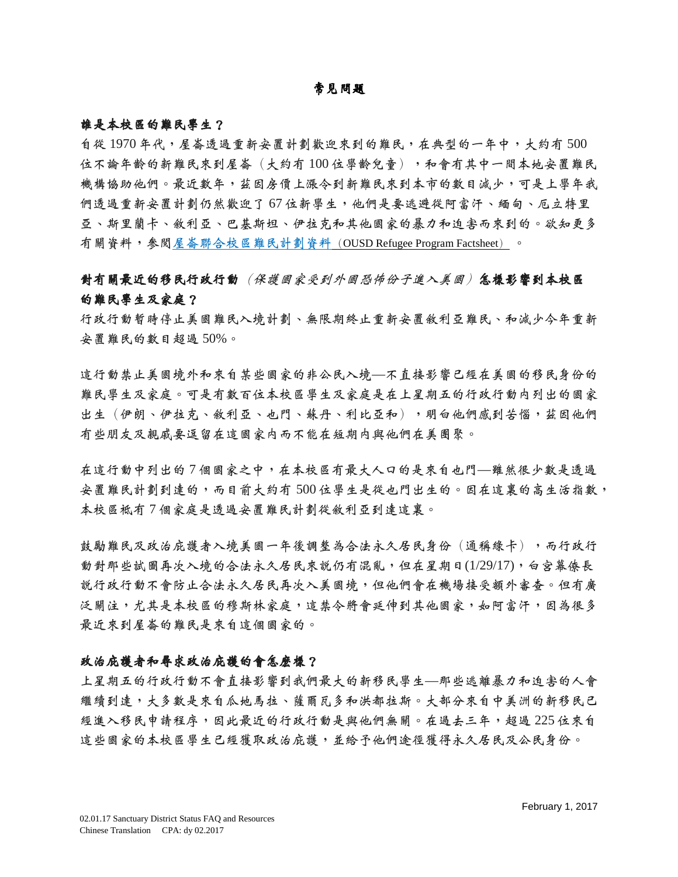# 常見問題

#### <span id="page-1-0"></span>誰是本校區的難民學生?

自從 1970 年代,屋崙透過重新安置計劃歡迎來到的難民,在典型的一年中,大約有 500 位不論年齡的新難民來到屋崙(大約有100位學齡兒童),和會有其中一間本地安置難民 機構協助他們。最近數年,茲因房價上漲令到新難民來到本市的數目減少,可是上學年我 們透過重新安置計劃仍然歡迎了 67 位新學生,他們是要逃避從阿富汗、緬甸、厄立特里 亞、斯里蘭卡、敘利亞、巴基斯坦、伊拉克和其他國家的暴力和迫害而來到的。欲知更多 有關資料,參閱屋崙聯合校區難民計劃資料([OUSD Refugee Program Factsheet](https://docs.google.com/document/d/1yJa5tyMTLLjJe_BqtnZBdwabVFPYS7-zMJew3Dmy168/edit?usp=sharing)) 。

# <span id="page-1-1"></span>對有關最近的移民行政行動(保護國家受到外國恐怖份子進入美國)怎樣影響到本校區 的難民學生及家庭?

行政行動暫時停止美國難民入境計劃、無限期終止重新安置敘利亞難民、和減少今年重新 安置難民的數目超過 50%。

這行動禁止美國境外和來自某些國家的非公民入境—不直接影響已經在美國的移民身份的 難民學生及家庭。可是有數百位本校區學生及家庭是在上星期五的行政行動內列出的國家 出生(伊朗、伊拉克、敘利亞、也門、蘇丹、利比亞和),明白他們感到苦惱,茲因他們 有些朋友及親戚要逗留在這國家內而不能在短期內與他們在美團聚。

在這行動中列出的 7 個國家之中,在本校區有最大人口的是來自也門—雖然很少數是透過 安置難民計劃到達的,而目前大約有 500 位學生是從也門出生的。因在這裏的高生活指數, 本校區祗有 7 個家庭是透過安置難民計劃從敘利亞到達這裏。

鼓勵難民及政治庇護者入境美國一年後調整為合法永久居民身份(通稱綠卡),而行政行 動對那些試圖再次入境的合法永久居民來說仍有混亂,但在星期日(1/29/17),白宮幕僚長 說行政行動不會防止合法永久居民再次入美國境,但他們會在機場接受額外審查。但有廣 泛關注,尤其是本校區的穆斯林家庭,這禁令將會延伸到其他國家,如阿富汗,因為很多 最近來到屋崙的難民是來自這個國家的。

# <span id="page-1-2"></span>政治庇護的會怎麽樣?

<span id="page-1-3"></span>上星期五的行政行動不會直接影響到我們最大的新移民學生—那些逃離暴力和迫害的人會 繼續到達,大多數是來自瓜地馬拉、薩爾瓦多和洪都拉斯。大部分來自中美洲的新移民已 經進入移民申請程序,因此最近的行政行動是與他們無關。在過去三年,超過 225 位來自 這些國家的本校區學生已經獲取政治庇護,並給予他們途徑獲得永久居民及公民身份。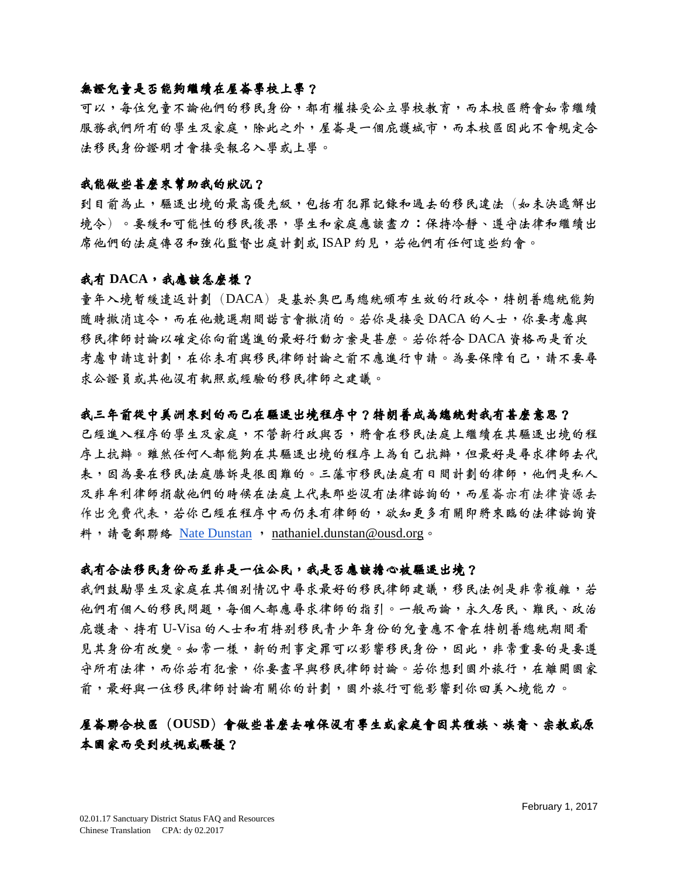# 無證兒童是否能夠繼續在屋崙學校上學?

可以,每位兒童不論他們的移民身份,都有權接受公立學校教育,而本校區將會如常繼續 服務我們所有的學生及家庭,除此之外,屋崙是一個庇護城市,而本校區因此不會規定合 法移民身份證明才會接受報名入學或上學。

# <span id="page-2-0"></span>我能做些甚麽來幫助我的狀況?

到目前為止,驅逐出境的最高優先級,包括有犯罪記錄和過去的移民違法(如未决遞解出 境令)。要緩和可能性的移民後果,學生和家庭應該盡力:保持冷靜、遵守法律和繼續出 席他們的法庭傳召和強化監督出庭計劃或 ISAP 約見,若他們有任何這些約會。

# <span id="page-2-1"></span>我有 **DACA**,我應該怎麼樣?

童年入境暫緩遣返計劃(DACA)是基於奧巴馬總統頒布生效的行政令,特朗普總統能夠 隨時撤消這令,而在他競選期間諾言會撤消的。若你是接受 DACA 的人士,你要考慮與 移民律師討論以確定你向前邁進的最好行動方案是甚麼。若你符合 DACA 資格而是首次 考慮申請這計劃,在你未有與移民律師討論之前不應進行申請。為要保障自己,請不要尋 求公證員或其他沒有執照或經驗的移民律師之建議。

# <span id="page-2-2"></span>我三年前從中美洲來到的而已在驅逐出境程序中?特朗普成為總統對我有甚麼意思?

已經進入程序的學生及家庭,不管新行政與否,將會在移民法庭上繼續在其驅逐出境的程 序上抗辯。雖然任何人都能夠在其驅逐出境的程序上為自己抗辯,但最好是尋求律師去代 表,因為要在移民法庭服務。三藩市移民法庭有日間計劃的律師,他們是私人 及非牟利律師捐獻他們的時候在法庭上代表那些沒有法律諮詢的,而屋崙亦有法律資源去 作出免費代表,若你已經在程序中而仍未有律師的,欲知更多有關即將來臨的法律諮詢資 料,請電郵聯絡 [Nate Dunstan](mailto:nathaniel.dunstan@ousd.org), [nathaniel.dunstan@ousd.org](mailto:nathaniel.dunstan@ousd.org)。

# <span id="page-2-3"></span>我有合法移民身份而並非是一位公民,我是否應該擔心被驅逐出境?

我們鼓勵學生及家庭在其個別情況中尋求最好的移民律師建議,移民法例是非常複雜,若 他們有個人的移民問題,每個人都應尋求律師的指引。一般而論,永久居民、難民、政治 庇護者、持有 U-Visa 的人士和有特別移民青少年身份的兒童應不會在特朗普總統期間看 見其身份有改變。如常一樣,新的刑事定罪可以影響移民身份,因此,非常重要的是要遵 守所有法律,而你若有犯案,你要盡早與移民律師討論。若你想到國外旅行,在離開國家 前,最好與一位移民律師討論有關你的計劃,國外旅行可能影響到你回美入境能力。

# <span id="page-2-4"></span>屋崙聯合校區(**OUSD**)會做些甚麼去確保沒有學生或家庭會因其種族、族裔、宗教或原 本國家而受到歧視或騷擾?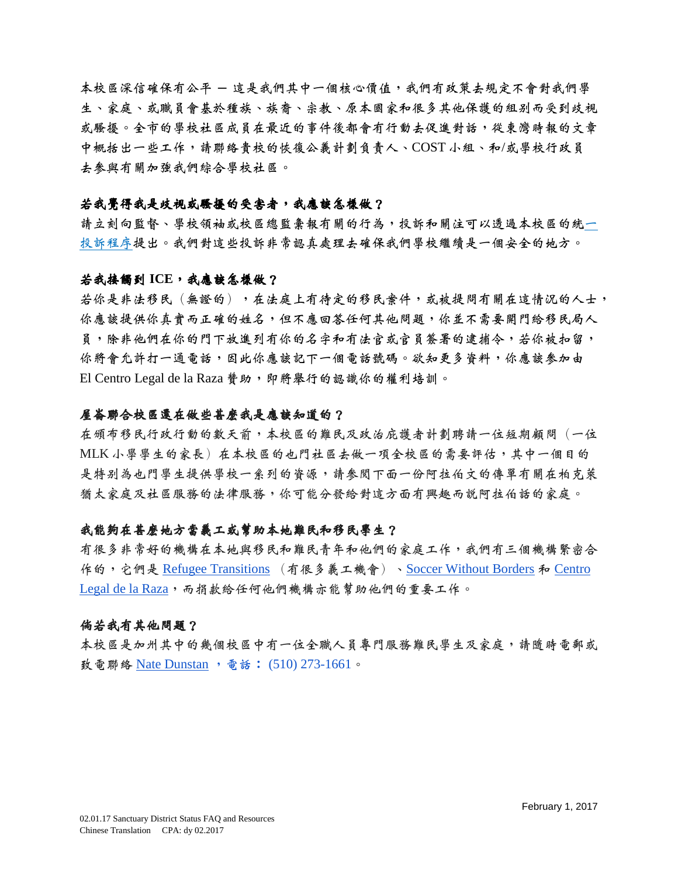本校區深信確保有公平 – 這是我們其中一個核心價值,我們有政策去規定不會對我們學 生、家庭、或職員會基於種族、族裔、宗教、原本國家和很多其他保護的組別而受到歧視 或騷擾。全市的學校社區成員在最近的事件後都會有行動去促進對話,從東灣時報的文章 中概括出一些工作,請聯絡貴校的恢復公義計劃負責人、COST 小組、和/或學校行政員 去參與有關加強我們綜合學校社區。

#### <span id="page-3-0"></span>若我覺得我是歧視或騷擾的受害者,我應該怎樣做?

請立刻向監督、學校領袖或校區總監彙報有關的行為,投訴和關注可以透過本校區的統一 投訴程序提出。我們對這些投訴非常認真處理去確保我們學校繼續是一個安全的地方。

#### <span id="page-3-1"></span>若我接觸到 **ICE**,我應該怎樣做?

若你是非法移民(無證的),在法庭上有待定的移民案件,或被提問有關在這情況的人士, 你應該提供你真實而正確的姓名,但不應回答任何其他問題,你並不需要開門給移民局人 員,除非他們在你的門下放進列有你的名字和有法官或官員簽署的逮捕令,若你被扣留, 你將會允許打一通電話,因此你應該記下一個電話號碼。欲知更多資料,你應該參加由 El Centro Legal de la Raza 費助,即將舉行的認識你的權利培訓。

#### <span id="page-3-2"></span>屋崙聯合校區還在做些甚麼我是應該知道的?

在頒布移民行政行動的數天前,本校區的難民及政治庇護者計劃聘請一位短期顧問(一位 MLK 小學學生的家長)在本校區的也門社區去做一項全校區的需要評估,其中一個目的 是特別為也門學生提供學校一系列的資源,請參閱下面一份阿拉伯文的傳單有關在柏克萊 猶太家庭及社區服務的法律服務,你可能分發給對這方面有興趣而說阿拉伯話的家庭。

# <span id="page-3-3"></span>我能夠在甚麼地方當義工或幫助本地難民和移民學生?

有很多非常好的機構在本地與移民和難民青年和他們的家庭工作,我們有三個機構緊密合 作的,它們是 [Refugee Transitions](http://www.reftrans.org/) (有很多義工機會)、[Soccer Without Borders](http://www.soccerwithoutborders.org/) 和 Centro [Legal de la Raza](https://donatenow.networkforgood.org/centrolegaldelaraza),而捐款給任何他們機構亦能幫助他們的重要工作。

#### 倘若我有其他問題?

本校區是加州其中的幾個校區中有一位全職人員專門服務難民學生及家庭,請隨時電郵或 致電聯絡 [Nate Dunstan](mailto:nathaniel.dunstan@ousd.org) ,電話∶ (510) 273-1661。